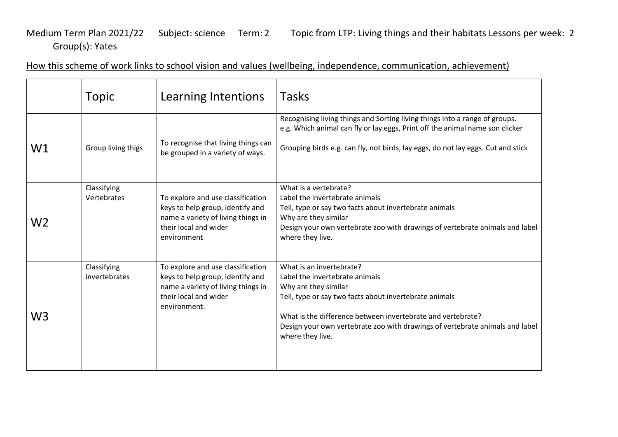## Medium Term Plan 2021/22 Subject: science Term: 2 Topic from LTP: Living things and their habitats Lessons per week: 2 Group(s): Yates

How this scheme of work links to school vision and values (wellbeing, independence, communication, achievement)

|    | <b>Topic</b>                 | Learning Intentions                                                                                                                                  | <b>Tasks</b>                                                                                                                                                                                                                                                                                                    |
|----|------------------------------|------------------------------------------------------------------------------------------------------------------------------------------------------|-----------------------------------------------------------------------------------------------------------------------------------------------------------------------------------------------------------------------------------------------------------------------------------------------------------------|
| W1 | Group living thigs           | To recognise that living things can<br>be grouped in a variety of ways.                                                                              | Recognising living things and Sorting living things into a range of groups.<br>e.g. Which animal can fly or lay eggs, Print off the animal name son clicker<br>Grouping birds e.g. can fly, not birds, lay eggs, do not lay eggs. Cut and stick                                                                 |
| W2 | Classifying<br>Vertebrates   | To explore and use classification<br>keys to help group, identify and<br>name a variety of living things in<br>their local and wider<br>environment  | What is a vertebrate?<br>Label the invertebrate animals<br>Tell, type or say two facts about invertebrate animals<br>Why are they similar<br>Design your own vertebrate zoo with drawings of vertebrate animals and label<br>where they live.                                                                   |
| W3 | Classifying<br>invertebrates | To explore and use classification<br>keys to help group, identify and<br>name a variety of living things in<br>their local and wider<br>environment. | What is an invertebrate?<br>Label the invertebrate animals<br>Why are they similar<br>Tell, type or say two facts about invertebrate animals<br>What is the difference between invertebrate and vertebrate?<br>Design your own vertebrate zoo with drawings of vertebrate animals and label<br>where they live. |